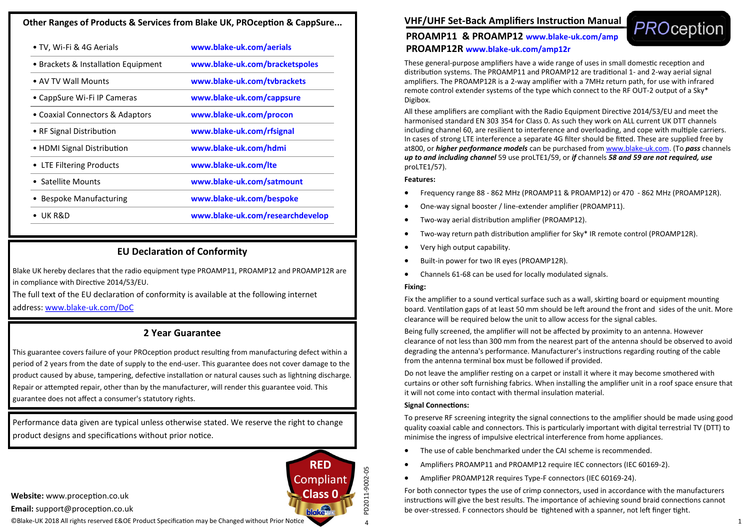### **Other Ranges of Products & Services from Blake UK, PROception & CappSure...**

| • TV, Wi-Fi & 4G Aerials            | www.blake-uk.com/aerials         |
|-------------------------------------|----------------------------------|
| • Brackets & Installation Equipment | www.blake-uk.com/bracketspoles   |
| • AV TV Wall Mounts                 | www.blake-uk.com/tybrackets      |
| • CappSure Wi-Fi IP Cameras         | www.blake-uk.com/cappsure        |
| • Coaxial Connectors & Adaptors     | www.blake-uk.com/procon          |
| • RF Signal Distribution            | www.blake-uk.com/rfsignal        |
| • HDMI Signal Distribution          | www.blake-uk.com/hdmi            |
| LTE Filtering Products              | www.blake-uk.com/lte             |
| • Satellite Mounts                  | www.blake-uk.com/satmount        |
| <b>Bespoke Manufacturing</b>        | www.blake-uk.com/bespoke         |
| UK R&D                              | www.blake-uk.com/researchdevelop |
|                                     |                                  |

# **EU Declaration of Conformity**

Blake UK hereby declares that the radio equipment type PROAMP11, PROAMP12 and PROAMP12R are in compliance with Directive 2014/53/EU.

The full text of the EU declaration of conformity is available at the following internet address: www.blake-[uk.com/DoC](http://www.blake-uk.com/DoC)

## **2 Year Guarantee**

This guarantee covers failure of your PROception product resulting from manufacturing defect within a period of 2 years from the date of supply to the end-user. This guarantee does not cover damage to the product caused by abuse, tampering, defective installation or natural causes such as lightning discharge. Repair or attempted repair, other than by the manufacturer, will render this guarantee void. This guarantee does not affect a consumer's statutory rights.

Performance data given are typical unless otherwise stated. We reserve the right to change product designs and specifications without prior notice.

**Website:** www.proception.co.uk

**Email:** support@proception.co.uk

©Blake-UK 2018 All rights reserved E&OE Product Specification may be Changed without Prior Notice

**VHF/UHF Set-Back Amplifiers Instruction Manual** 



## **PROAMP11 & PROAMP12 www.blake-uk.com/amp PROAMP12R www.blake-uk.com/amp12r**

These general-purpose amplifiers have a wide range of uses in small domestic reception and distribution systems. The PROAMP11 and PROAMP12 are traditional 1- and 2-way aerial signal amplifiers. The PROAMP12R is a 2-way amplifier with a 7MHz return path, for use with infrared remote control extender systems of the type which connect to the RF OUT-2 output of a Sky\* Digibox.

All these amplifiers are compliant with the Radio Equipment Directive 2014/53/EU and meet the harmonised standard EN 303 354 for Class 0. As such they work on ALL current UK DTT channels including channel 60, are resilient to interference and overloading, and cope with multiple carriers. In cases of strong LTE interference a separate 4G filter should be fitted. These are supplied free by at800, or *higher performance models* can be purchased from [www.blake](http://www.blake-uk.com)-uk.com. (To *pass* channels *up to and including channel* 59 use proLTE1/59, or *if* channels *58 and 59 are not required, use* proLTE1/57).

### **Features:**

- Frequency range 88 862 MHz (PROAMP11 & PROAMP12) or 470 862 MHz (PROAMP12R).
- One-way signal booster / line-extender amplifier (PROAMP11).
- Two-way aerial distribution amplifier (PROAMP12).
- Two-way return path distribution amplifier for Sky\* IR remote control (PROAMP12R).
- Very high output capability.
- Built-in power for two IR eyes (PROAMP12R).
- Channels 61-68 can be used for locally modulated signals.

#### **Fixing:**

Fix the amplifier to a sound vertical surface such as a wall, skirting board or equipment mounting board. Ventilation gaps of at least 50 mm should be left around the front and sides of the unit. More clearance will be required below the unit to allow access for the signal cables.

Being fully screened, the amplifier will not be affected by proximity to an antenna. However clearance of not less than 300 mm from the nearest part of the antenna should be observed to avoid degrading the antenna's performance. Manufacturer's instructions regarding routing of the cable from the antenna terminal box must be followed if provided.

Do not leave the amplifier resting on a carpet or install it where it may become smothered with curtains or other soft furnishing fabrics. When installing the amplifier unit in a roof space ensure that it will not come into contact with thermal insulation material.

### **Signal Connections:**

To preserve RF screening integrity the signal connections to the amplifier should be made using good quality coaxial cable and connectors. This is particularly important with digital terrestrial TV (DTT) to minimise the ingress of impulsive electrical interference from home appliances.

- The use of cable benchmarked under the CAI scheme is recommended.
- Amplifiers PROAMP11 and PROAMP12 require IEC connectors (IEC 60169-2).
- Amplifier PROAMP12R requires Type-F connectors (IEC 60169-24).

For both connector types the use of crimp connectors, used in accordance with the manufacturers instructions will give the best results. The importance of achieving sound braid connections cannot be over-stressed. F connectors should be tightened with a spanner, not left finger tight.

4PD2011-9002-05

 $\overline{a}$ 

PD2011-9002-05

**RED** 

Compliant **Class 0**